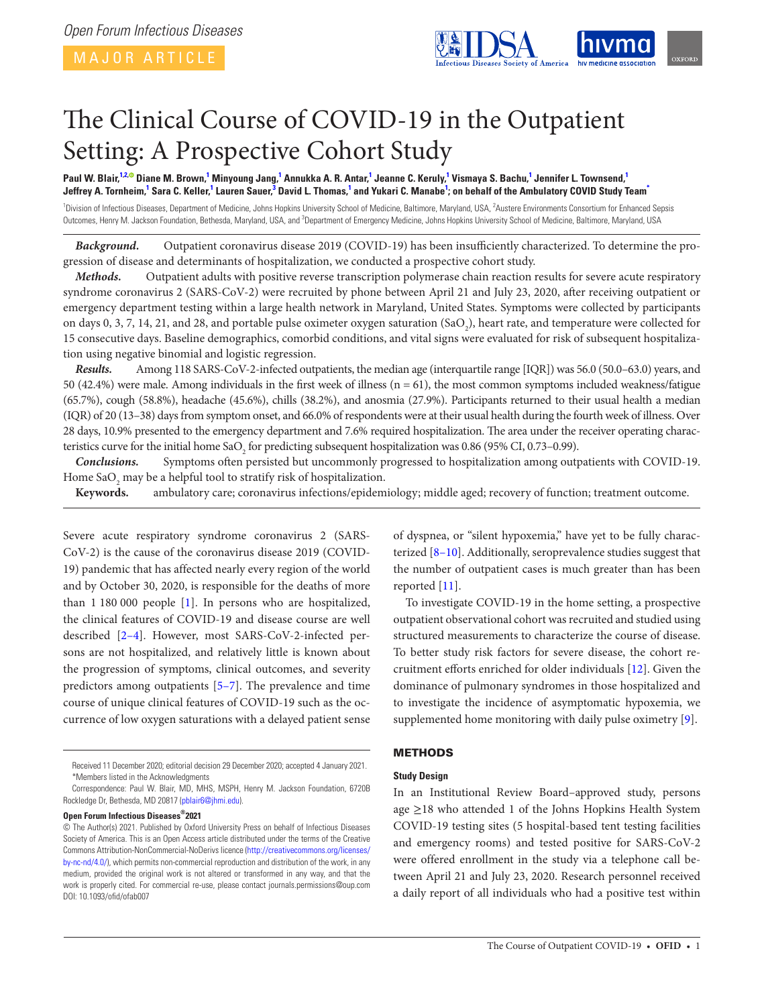

# The Clinical Course of COVID-19 in the Outpatient Setting: A Prospective Cohort Study

Paul W. Blair,<sup>1[2](#page-0-1),®</sup> Diane M. Brown,<sup>[1](#page-0-0)</sup> Minyoung Jang,<sup>1</sup> Annukka A. R. Antar,<sup>1</sup> Jeanne C. Keruly,<sup>1</sup> Vismaya S. Bachu,<sup>1</sup> Jennifer L. Townsend,<sup>1</sup> Jeffrey A. Tornheim,<sup>[1](#page-0-0)</sup> Sara C. Keller,<sup>1</sup> Lauren Sauer,<sup>[3](#page-0-2)</sup> David L. Thomas,<sup>1</sup> and Yukari C. Manabe<sup>1</sup>; on behalf of the Ambulatory COVID Study Team<sup>\*</sup>

<span id="page-0-2"></span><span id="page-0-1"></span><span id="page-0-0"></span><sup>1</sup>Division of Infectious Diseases, Department of Medicine, Johns Hopkins University School of Medicine, Baltimore, Maryland, USA, <sup>2</sup>Austere Environments Consortium for Enhanced Sepsis Outcomes, Henry M. Jackson Foundation, Bethesda, Maryland, USA, and <sup>3</sup>Department of Emergency Medicine, Johns Hopkins University School of Medicine, Baltimore, Maryland, USA

*Background.* Outpatient coronavirus disease 2019 (COVID-19) has been insufficiently characterized. To determine the progression of disease and determinants of hospitalization, we conducted a prospective cohort study.

*Methods.* Outpatient adults with positive reverse transcription polymerase chain reaction results for severe acute respiratory syndrome coronavirus 2 (SARS-CoV-2) were recruited by phone between April 21 and July 23, 2020, after receiving outpatient or emergency department testing within a large health network in Maryland, United States. Symptoms were collected by participants on days 0, 3, 7, 14, 21, and 28, and portable pulse oximeter oxygen saturation (SaO<sub>2</sub>), heart rate, and temperature were collected for 15 consecutive days. Baseline demographics, comorbid conditions, and vital signs were evaluated for risk of subsequent hospitalization using negative binomial and logistic regression.

*Results.* Among 118 SARS-CoV-2-infected outpatients, the median age (interquartile range [IQR]) was 56.0 (50.0–63.0) years, and 50 (42.4%) were male. Among individuals in the first week of illness (n = 61), the most common symptoms included weakness/fatigue (65.7%), cough (58.8%), headache (45.6%), chills (38.2%), and anosmia (27.9%). Participants returned to their usual health a median (IQR) of 20 (13–38) days from symptom onset, and 66.0% of respondents were at their usual health during the fourth week of illness. Over 28 days, 10.9% presented to the emergency department and 7.6% required hospitalization. The area under the receiver operating characteristics curve for the initial home SaO<sub>2</sub> for predicting subsequent hospitalization was 0.86 (95% CI, 0.73–0.99).

*Conclusions.* Symptoms often persisted but uncommonly progressed to hospitalization among outpatients with COVID-19. Home Sa $O_2$  may be a helpful tool to stratify risk of hospitalization.

**Keywords.** ambulatory care; coronavirus infections/epidemiology; middle aged; recovery of function; treatment outcome.

Severe acute respiratory syndrome coronavirus 2 (SARS-CoV-2) is the cause of the coronavirus disease 2019 (COVID-19) pandemic that has affected nearly every region of the world and by October 30, 2020, is responsible for the deaths of more than 1 180 000 people [[1](#page-7-0)]. In persons who are hospitalized, the clinical features of COVID-19 and disease course are well described [\[2–](#page-7-1)[4](#page-7-2)]. However, most SARS-CoV-2-infected persons are not hospitalized, and relatively little is known about the progression of symptoms, clinical outcomes, and severity predictors among outpatients [[5](#page-8-0)[–7\]](#page-8-1). The prevalence and time course of unique clinical features of COVID-19 such as the occurrence of low oxygen saturations with a delayed patient sense

**Open Forum Infectious Diseases®2021**

of dyspnea, or "silent hypoxemia," have yet to be fully characterized [\[8–](#page-8-2)[10\]](#page-8-3). Additionally, seroprevalence studies suggest that the number of outpatient cases is much greater than has been reported [\[11](#page-8-4)].

To investigate COVID-19 in the home setting, a prospective outpatient observational cohort was recruited and studied using structured measurements to characterize the course of disease. To better study risk factors for severe disease, the cohort recruitment efforts enriched for older individuals [\[12](#page-8-5)]. Given the dominance of pulmonary syndromes in those hospitalized and to investigate the incidence of asymptomatic hypoxemia, we supplemented home monitoring with daily pulse oximetry [[9](#page-8-6)].

#### **METHODS**

#### **Study Design**

In an Institutional Review Board–approved study, persons age ≥18 who attended 1 of the Johns Hopkins Health System COVID-19 testing sites (5 hospital-based tent testing facilities and emergency rooms) and tested positive for SARS-CoV-2 were offered enrollment in the study via a telephone call between April 21 and July 23, 2020. Research personnel received a daily report of all individuals who had a positive test within

<span id="page-0-3"></span>Received 11 December 2020; editorial decision 29 December 2020; accepted 4 January 2021. \*Members listed in the Acknowledgments

Correspondence: Paul W. Blair, MD, MHS, MSPH, Henry M. Jackson Foundation, 6720B Rockledge Dr, Bethesda, MD 20817 ([pblair6@jhmi.edu](mailto:pblair6@jhmi.edu?subject=)).

<sup>©</sup> The Author(s) 2021. Published by Oxford University Press on behalf of Infectious Diseases Society of America. This is an Open Access article distributed under the terms of the Creative Commons Attribution-NonCommercial-NoDerivs licence [\(http://creativecommons.org/licenses/](http://creativecommons.org/licenses/by-nc-nd/4.0/) [by-nc-nd/4.0/](http://creativecommons.org/licenses/by-nc-nd/4.0/)), which permits non-commercial reproduction and distribution of the work, in any medium, provided the original work is not altered or transformed in any way, and that the work is properly cited. For commercial re-use, please contact journals.permissions@oup.com DOI: 10.1093/ofid/ofab007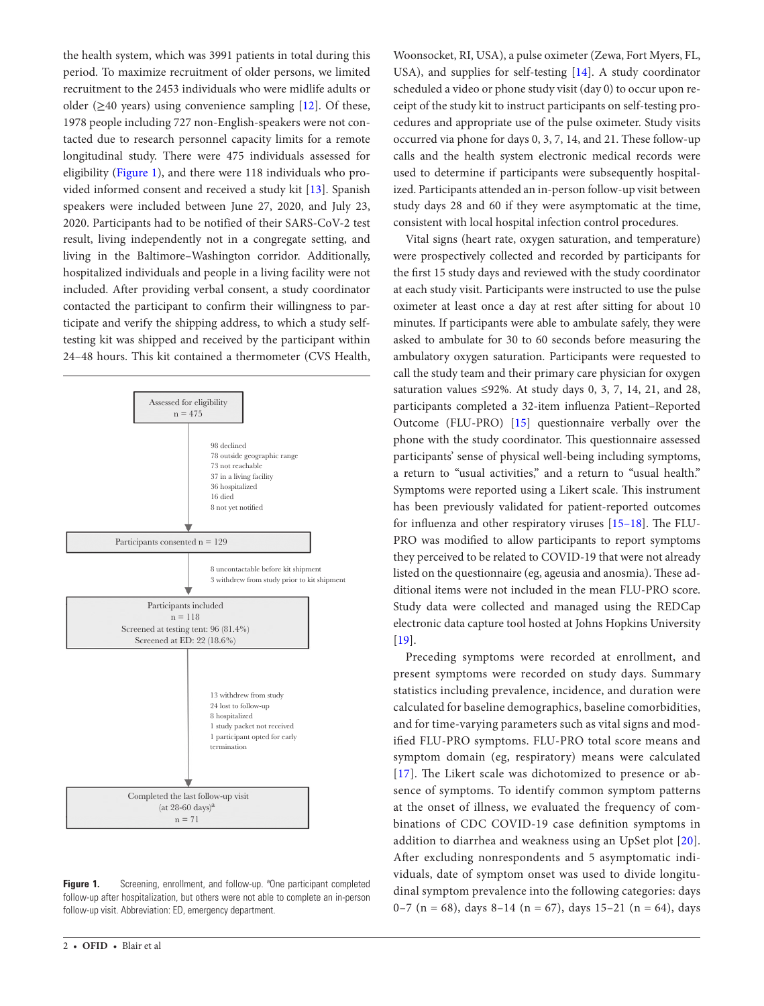the health system, which was 3991 patients in total during this period. To maximize recruitment of older persons, we limited recruitment to the 2453 individuals who were midlife adults or older ( $\geq$ 40 years) using convenience sampling [\[12](#page-8-5)]. Of these, 1978 people including 727 non-English-speakers were not contacted due to research personnel capacity limits for a remote longitudinal study. There were 475 individuals assessed for eligibility ([Figure 1](#page-1-0)), and there were 118 individuals who provided informed consent and received a study kit [[13](#page-8-7)]. Spanish speakers were included between June 27, 2020, and July 23, 2020. Participants had to be notified of their SARS-CoV-2 test result, living independently not in a congregate setting, and living in the Baltimore–Washington corridor. Additionally, hospitalized individuals and people in a living facility were not included. After providing verbal consent, a study coordinator contacted the participant to confirm their willingness to participate and verify the shipping address, to which a study selftesting kit was shipped and received by the participant within 24–48 hours. This kit contained a thermometer (CVS Health,



<span id="page-1-0"></span>Figure 1. Screening, enrollment, and follow-up. <sup>a</sup>One participant completed follow-up after hospitalization, but others were not able to complete an in-person follow-up visit. Abbreviation: ED, emergency department.

Woonsocket, RI, USA), a pulse oximeter (Zewa, Fort Myers, FL, USA), and supplies for self-testing [[14\]](#page-8-8). A study coordinator scheduled a video or phone study visit (day 0) to occur upon receipt of the study kit to instruct participants on self-testing procedures and appropriate use of the pulse oximeter. Study visits occurred via phone for days 0, 3, 7, 14, and 21. These follow-up calls and the health system electronic medical records were used to determine if participants were subsequently hospitalized. Participants attended an in-person follow-up visit between study days 28 and 60 if they were asymptomatic at the time, consistent with local hospital infection control procedures.

Vital signs (heart rate, oxygen saturation, and temperature) were prospectively collected and recorded by participants for the first 15 study days and reviewed with the study coordinator at each study visit. Participants were instructed to use the pulse oximeter at least once a day at rest after sitting for about 10 minutes. If participants were able to ambulate safely, they were asked to ambulate for 30 to 60 seconds before measuring the ambulatory oxygen saturation. Participants were requested to call the study team and their primary care physician for oxygen saturation values  $\leq 92\%$ . At study days 0, 3, 7, 14, 21, and 28, participants completed a 32-item influenza Patient–Reported Outcome (FLU-PRO) [\[15](#page-8-9)] questionnaire verbally over the phone with the study coordinator. This questionnaire assessed participants' sense of physical well-being including symptoms, a return to "usual activities," and a return to "usual health." Symptoms were reported using a Likert scale. This instrument has been previously validated for patient-reported outcomes for influenza and other respiratory viruses [\[15](#page-8-9)[–18](#page-8-10)]. The FLU-PRO was modified to allow participants to report symptoms they perceived to be related to COVID-19 that were not already listed on the questionnaire (eg, ageusia and anosmia). These additional items were not included in the mean FLU-PRO score. Study data were collected and managed using the REDCap electronic data capture tool hosted at Johns Hopkins University  $[19]$  $[19]$ .

Preceding symptoms were recorded at enrollment, and present symptoms were recorded on study days. Summary statistics including prevalence, incidence, and duration were calculated for baseline demographics, baseline comorbidities, and for time-varying parameters such as vital signs and modified FLU-PRO symptoms. FLU-PRO total score means and symptom domain (eg, respiratory) means were calculated [\[17\]](#page-8-12). The Likert scale was dichotomized to presence or absence of symptoms. To identify common symptom patterns at the onset of illness, we evaluated the frequency of combinations of CDC COVID-19 case definition symptoms in addition to diarrhea and weakness using an UpSet plot [[20](#page-8-13)]. After excluding nonrespondents and 5 asymptomatic individuals, date of symptom onset was used to divide longitudinal symptom prevalence into the following categories: days 0–7 (n = 68), days 8–14 (n = 67), days 15–21 (n = 64), days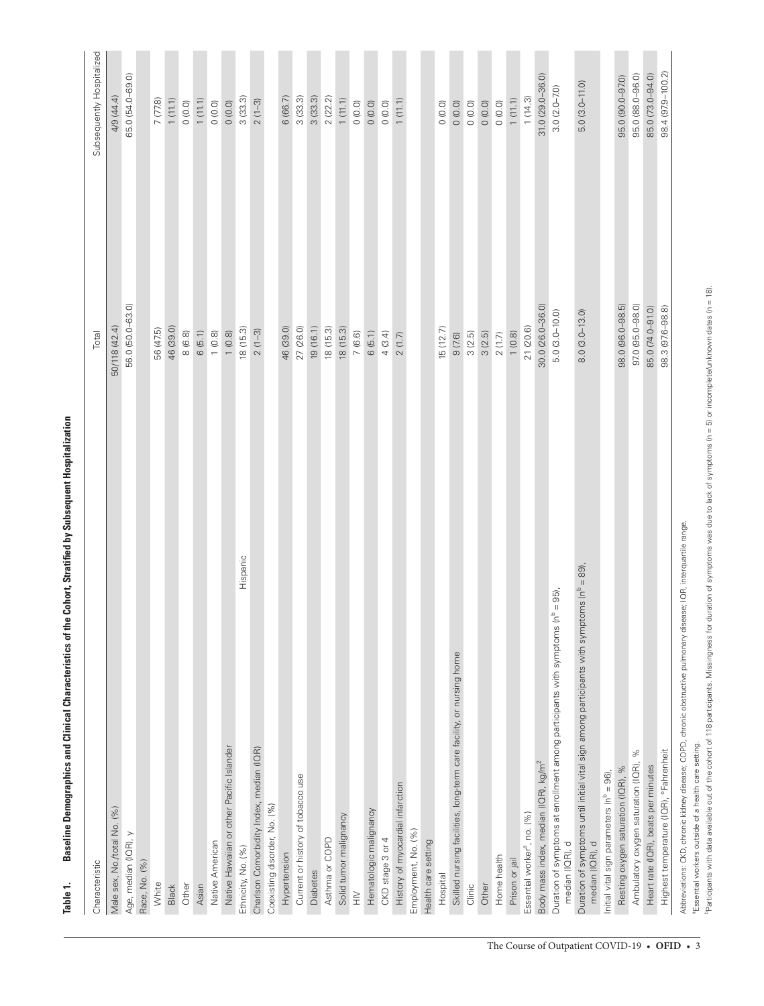| Characteristic                                                                                                                 | Total             | Subsequently Hospitalized |
|--------------------------------------------------------------------------------------------------------------------------------|-------------------|---------------------------|
| Male sex, No./total No. (%)                                                                                                    | 50/118 (42.4)     | 4/9 (44.4)                |
| Age, median (IQR), y                                                                                                           | 56.0 (50.0-63.0)  | 65.0 (54.0-69.0)          |
| Race, No. (%)                                                                                                                  |                   |                           |
| White                                                                                                                          | 56 (47.5)         | 7 (77.8)                  |
| Black                                                                                                                          | 46 (39.0)         | 1(11.1)                   |
| Other                                                                                                                          | 8(6.8)            | 0(0.0)                    |
| Asian                                                                                                                          | 6(5.1)            | 1(11.1)                   |
| Native American                                                                                                                | 1(0.8)            | (0.0)                     |
| Native Hawaiian or other Pacific Islander                                                                                      | 1(0.8)            | O (0.0)                   |
| Hispanic<br>Ethnicity, No. (%)                                                                                                 | 18 (15.3)         | 3(33.3)                   |
| Charlson Comorbidity Index, median (IQR)                                                                                       | $2(1-3)$          | $2(1-3)$                  |
| Coexisting disorder, No. (%)                                                                                                   |                   |                           |
| Hypertension                                                                                                                   | 46 (39.0)         | 6 (66.7)                  |
| Current or history of tobacco use                                                                                              | 27 (26.0)         | 3(33.3)                   |
| Diabetes                                                                                                                       | 19(16.1)          | 3(33.3)                   |
| Asthma or COPD                                                                                                                 | 18(15.3)          | 2(22.2)                   |
| Solid tumor malignancy                                                                                                         | 18(15.3)          | 1(11.1)                   |
| $\geqq$                                                                                                                        | 7(6.6)            | 0(0.0)                    |
| Hematologic malignancy                                                                                                         | 6(5.1)            | 0(0.0)                    |
| CKD stage 3 or 4                                                                                                               | 4(3.4)            | 0(0.0)                    |
| History of myocardial infarction                                                                                               | 2(1.7)            | 1(11.1)                   |
| Employment, No. (%)                                                                                                            |                   |                           |
| Health care setting                                                                                                            |                   |                           |
| Hospital                                                                                                                       | 15(12.7)          | 0(0.0)                    |
| Skilled nursing facilities, long-term care facility, or nursing home                                                           | 9 (7.6)           | 0(0.0)                    |
| Clinic                                                                                                                         | 3(2.5)            | 0(0.0)                    |
| Other                                                                                                                          | 3(2.5)            | 0(0.0)                    |
| Home health                                                                                                                    | $2(1.7)$          | 0(0.0)                    |
| Prison or jail                                                                                                                 | 1(0.8)            | 1(11.1)                   |
| Essential worker <sup>a</sup> , no. (%)                                                                                        | 21 (20.6)         | 1(14.3)                   |
| Body mass index, median (IQR), kg/m <sup>2</sup>                                                                               | 30.0 (26.0-36.0)  | 31.0 (29.0-36.0)          |
| $(n^b = 95)$ ,<br>Duration of symptoms at enrollment among participants with symptoms<br>median (IQR), d                       | $5.0(3.0-10.0)$   | $3.0(2.0 - 7.0)$          |
| Duration of symptoms until initial vital sign among participants with symptoms (n <sup>b</sup> = 89),<br>median (IQR), d       | $8.0(3.0 - 13.0)$ | $5.0(3.0 - 11.0)$         |
| Initial vital sign parameters (n <sup>b</sup> = 96),                                                                           |                   |                           |
| Resting oxygen saturation (IQR), %                                                                                             | 98.0 (96.0-98.5)  | 95.0 (90.0-97.0)          |
| Ambulatory oxygen saturation (IQR), %                                                                                          | 97.0 (95.0-98.0)  | 95.0 (88.0-96.0)          |
| Heart rate (IQR), beats per minutes                                                                                            | 85.0 (74.0-91.0)  | 85.0 (73.0-94.0)          |
| Highest temperature (IQR), °Fahrenheit                                                                                         | 98.3 (97.6-98.8)  | 98.4 (97.9-100.2)         |
| Abbreviations: CKD, chronic kidney disease; COPD, chronic obstructive pulmonary disease; IQR, interquartile range.<br>ar<br>ar |                   |                           |

<span id="page-2-0"></span>Baseline Demographics and Clinical Characteristics of the Cohort, Stratified by Subsequent Hospitalization **Table 1. Baseline Demographics and Clinical Characteristics of the Cohort, Stratified by Subsequent Hospitalization** Table 1.

aEssential workers outside of a health care setting.

"Essential workers outside of a health care setting.<br>"Participants with data available out of the cohort of 118 participants. Missingness for duration of symptoms was due to lack of symptoms (n = 5) or incomplete/unknown d bParticipants with data available out of the cohort of 118 participants. Missingness for duration of symptoms was due to lack of symptoms (n = 5) or incomplete/unknown dates (n = 18).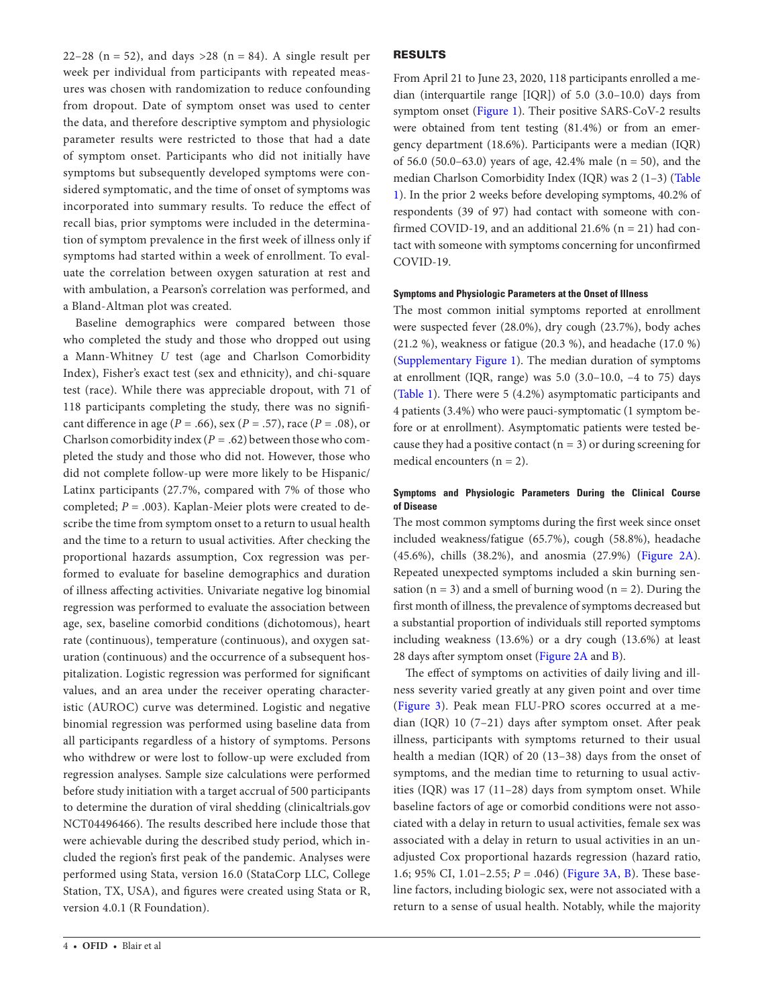22–28 ( $n = 52$ ), and days >28 ( $n = 84$ ). A single result per week per individual from participants with repeated measures was chosen with randomization to reduce confounding from dropout. Date of symptom onset was used to center the data, and therefore descriptive symptom and physiologic parameter results were restricted to those that had a date of symptom onset. Participants who did not initially have symptoms but subsequently developed symptoms were considered symptomatic, and the time of onset of symptoms was incorporated into summary results. To reduce the effect of recall bias, prior symptoms were included in the determination of symptom prevalence in the first week of illness only if symptoms had started within a week of enrollment. To evaluate the correlation between oxygen saturation at rest and with ambulation, a Pearson's correlation was performed, and a Bland-Altman plot was created.

Baseline demographics were compared between those who completed the study and those who dropped out using a Mann-Whitney *U* test (age and Charlson Comorbidity Index), Fisher's exact test (sex and ethnicity), and chi-square test (race). While there was appreciable dropout, with 71 of 118 participants completing the study, there was no significant difference in age ( $P = .66$ ), sex ( $P = .57$ ), race ( $P = .08$ ), or Charlson comorbidity index ( $P = .62$ ) between those who completed the study and those who did not. However, those who did not complete follow-up were more likely to be Hispanic/ Latinx participants (27.7%, compared with 7% of those who completed;  $P = .003$ ). Kaplan-Meier plots were created to describe the time from symptom onset to a return to usual health and the time to a return to usual activities. After checking the proportional hazards assumption, Cox regression was performed to evaluate for baseline demographics and duration of illness affecting activities. Univariate negative log binomial regression was performed to evaluate the association between age, sex, baseline comorbid conditions (dichotomous), heart rate (continuous), temperature (continuous), and oxygen saturation (continuous) and the occurrence of a subsequent hospitalization. Logistic regression was performed for significant values, and an area under the receiver operating characteristic (AUROC) curve was determined. Logistic and negative binomial regression was performed using baseline data from all participants regardless of a history of symptoms. Persons who withdrew or were lost to follow-up were excluded from regression analyses. Sample size calculations were performed before study initiation with a target accrual of 500 participants to determine the duration of viral shedding (clinicaltrials.gov NCT04496466). The results described here include those that were achievable during the described study period, which included the region's first peak of the pandemic. Analyses were performed using Stata, version 16.0 (StataCorp LLC, College Station, TX, USA), and figures were created using Stata or R, version 4.0.1 (R Foundation).

## RESULTS

From April 21 to June 23, 2020, 118 participants enrolled a median (interquartile range [IQR]) of 5.0 (3.0–10.0) days from symptom onset ([Figure 1\)](#page-1-0). Their positive SARS-CoV-2 results were obtained from tent testing (81.4%) or from an emergency department (18.6%). Participants were a median (IQR) of 56.0 (50.0–63.0) years of age, 42.4% male ( $n = 50$ ), and the median Charlson Comorbidity Index (IQR) was 2 (1–3) ([Table](#page-2-0)  [1\)](#page-2-0). In the prior 2 weeks before developing symptoms, 40.2% of respondents (39 of 97) had contact with someone with confirmed COVID-19, and an additional  $21.6\%$  (n = 21) had contact with someone with symptoms concerning for unconfirmed COVID-19.

### **Symptoms and Physiologic Parameters at the Onset of Illness**

The most common initial symptoms reported at enrollment were suspected fever (28.0%), dry cough (23.7%), body aches (21.2 %), weakness or fatigue (20.3 %), and headache (17.0 %) [\(Supplementary Figure 1\)](http://academic.oup.com/ofid/article-lookup/doi/10.1093/ofid/ofab007#supplementary-data). The median duration of symptoms at enrollment (IQR, range) was  $5.0$  (3.0–10.0,  $-4$  to  $75$ ) days [\(Table 1\)](#page-2-0). There were 5 (4.2%) asymptomatic participants and 4 patients (3.4%) who were pauci-symptomatic (1 symptom before or at enrollment). Asymptomatic patients were tested because they had a positive contact ( $n = 3$ ) or during screening for medical encounters  $(n = 2)$ .

## **Symptoms and Physiologic Parameters During the Clinical Course of Disease**

The most common symptoms during the first week since onset included weakness/fatigue (65.7%), cough (58.8%), headache (45.6%), chills (38.2%), and anosmia (27.9%) ([Figure 2A](#page-4-0)). Repeated unexpected symptoms included a skin burning sensation  $(n = 3)$  and a smell of burning wood  $(n = 2)$ . During the first month of illness, the prevalence of symptoms decreased but a substantial proportion of individuals still reported symptoms including weakness (13.6%) or a dry cough (13.6%) at least 28 days after symptom onset [\(Figure 2A](#page-4-0) and [B](#page-4-0)).

The effect of symptoms on activities of daily living and illness severity varied greatly at any given point and over time [\(Figure 3](#page-4-1)). Peak mean FLU-PRO scores occurred at a median (IQR) 10 (7–21) days after symptom onset. After peak illness, participants with symptoms returned to their usual health a median (IQR) of 20 (13–38) days from the onset of symptoms, and the median time to returning to usual activities (IQR) was 17 (11–28) days from symptom onset. While baseline factors of age or comorbid conditions were not associated with a delay in return to usual activities, female sex was associated with a delay in return to usual activities in an unadjusted Cox proportional hazards regression (hazard ratio, 1.6; 95% CI, 1.01–2.55; *P* = .046) [\(Figure 3A](#page-4-1), [B](#page-4-1)). These baseline factors, including biologic sex, were not associated with a return to a sense of usual health. Notably, while the majority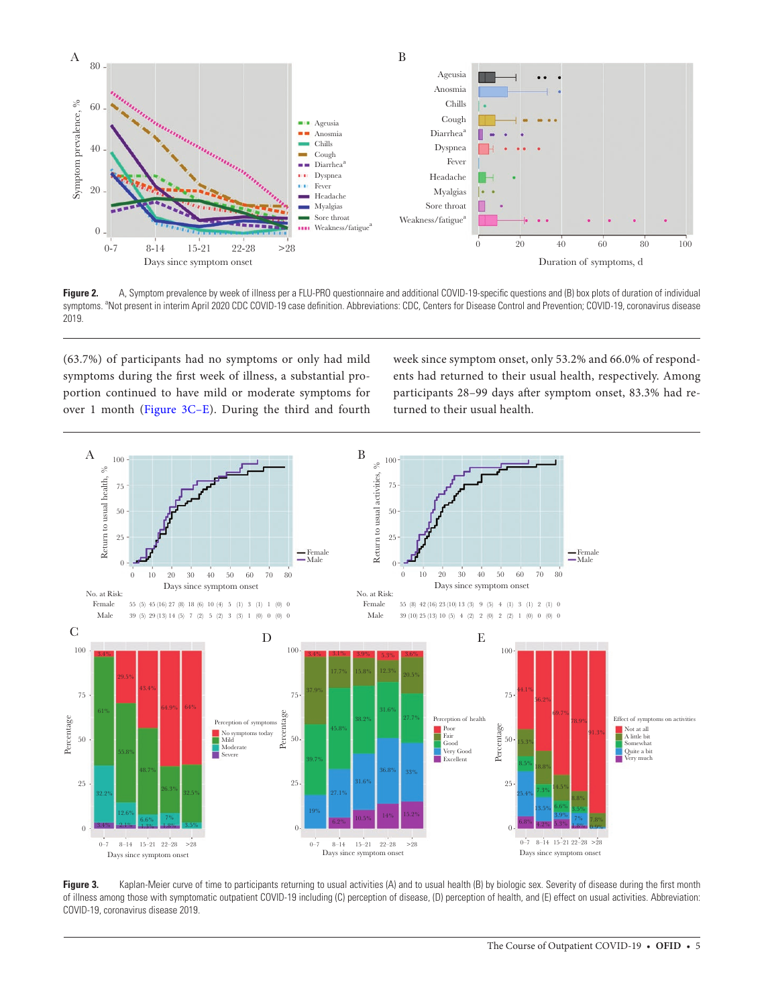

<span id="page-4-0"></span>**Figure 2.** A, Symptom prevalence by week of illness per a FLU-PRO questionnaire and additional COVID-19-specific questions and (B) box plots of duration of individual symptoms. <sup>a</sup>Not present in interim April 2020 CDC COVID-19 case definition. Abbreviations: CDC, Centers for Disease Control and Prevention; COVID-19, coronavirus disease 2019.

(63.7%) of participants had no symptoms or only had mild symptoms during the first week of illness, a substantial proportion continued to have mild or moderate symptoms for over 1 month [\(Figure 3C–E\)](#page-4-1). During the third and fourth

week since symptom onset, only 53.2% and 66.0% of respondents had returned to their usual health, respectively. Among participants 28–99 days after symptom onset, 83.3% had returned to their usual health.



<span id="page-4-1"></span>**Figure 3.** Kaplan-Meier curve of time to participants returning to usual activities (A) and to usual health (B) by biologic sex. Severity of disease during the first month of illness among those with symptomatic outpatient COVID-19 including (C) perception of disease, (D) perception of health, and (E) effect on usual activities. Abbreviation: COVID-19, coronavirus disease 2019.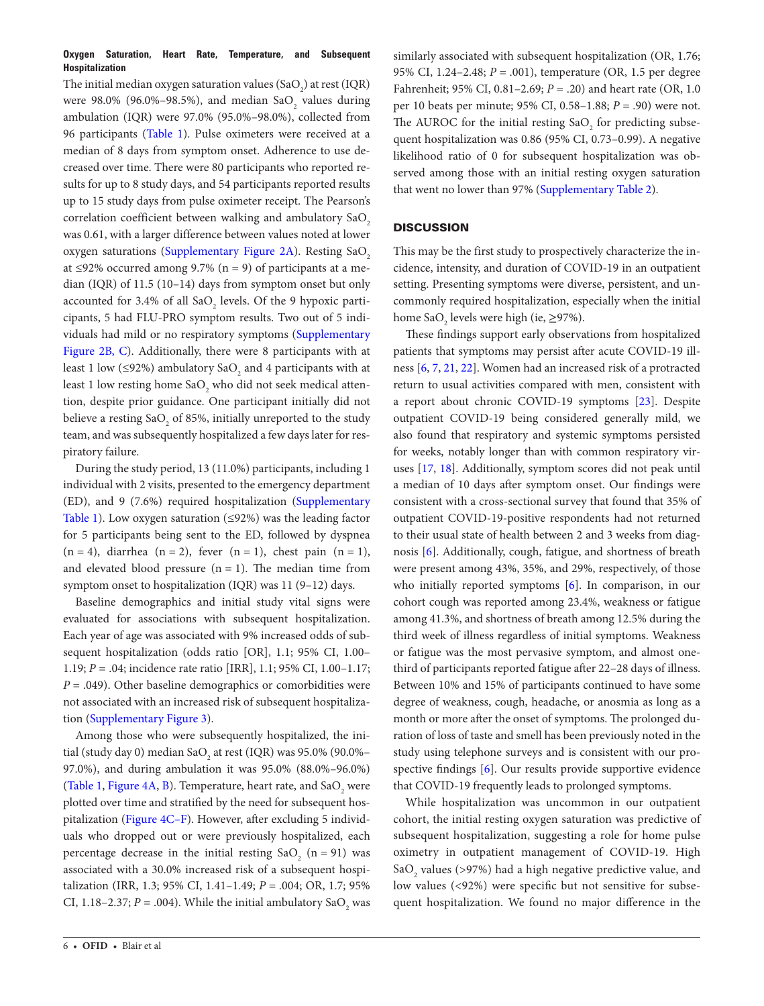## **Oxygen Saturation, Heart Rate, Temperature, and Subsequent Hospitalization**

The initial median oxygen saturation values (SaO<sub>2</sub>) at rest (IQR) were 98.0% (96.0%–98.5%), and median Sa $O_2$  values during ambulation (IQR) were 97.0% (95.0%–98.0%), collected from 96 participants ([Table 1](#page-2-0)). Pulse oximeters were received at a median of 8 days from symptom onset. Adherence to use decreased over time. There were 80 participants who reported results for up to 8 study days, and 54 participants reported results up to 15 study days from pulse oximeter receipt. The Pearson's correlation coefficient between walking and ambulatory SaO2 was 0.61, with a larger difference between values noted at lower oxygen saturations [\(Supplementary Figure 2A\)](http://academic.oup.com/ofid/article-lookup/doi/10.1093/ofid/ofab007#supplementary-data). Resting SaO<sub>2</sub> at ≤92% occurred among 9.7% (n = 9) of participants at a median (IQR) of 11.5 (10–14) days from symptom onset but only accounted for 3.4% of all  $\text{SaO}_2$  levels. Of the 9 hypoxic participants, 5 had FLU-PRO symptom results. Two out of 5 individuals had mild or no respiratory symptoms [\(Supplementary](http://academic.oup.com/ofid/article-lookup/doi/10.1093/ofid/ofab007#supplementary-data) [Figure 2B, C\)](http://academic.oup.com/ofid/article-lookup/doi/10.1093/ofid/ofab007#supplementary-data). Additionally, there were 8 participants with at least 1 low (≤92%) ambulatory SaO<sub>2</sub> and 4 participants with at least 1 low resting home SaO<sub>2</sub> who did not seek medical attention, despite prior guidance. One participant initially did not believe a resting SaO<sub>2</sub> of 85%, initially unreported to the study team, and was subsequently hospitalized a few days later for respiratory failure.

During the study period, 13 (11.0%) participants, including 1 individual with 2 visits, presented to the emergency department (ED), and 9 (7.6%) required hospitalization [\(Supplementary](http://academic.oup.com/ofid/article-lookup/doi/10.1093/ofid/ofab007#supplementary-data)  [Table 1](http://academic.oup.com/ofid/article-lookup/doi/10.1093/ofid/ofab007#supplementary-data)). Low oxygen saturation  $(≤92%)$  was the leading factor for 5 participants being sent to the ED, followed by dyspnea  $(n = 4)$ , diarrhea  $(n = 2)$ , fever  $(n = 1)$ , chest pain  $(n = 1)$ , and elevated blood pressure  $(n = 1)$ . The median time from symptom onset to hospitalization (IQR) was 11 (9–12) days.

Baseline demographics and initial study vital signs were evaluated for associations with subsequent hospitalization. Each year of age was associated with 9% increased odds of subsequent hospitalization (odds ratio [OR], 1.1; 95% CI, 1.00– 1.19; *P* = .04; incidence rate ratio [IRR], 1.1; 95% CI, 1.00–1.17;  $P = .049$ ). Other baseline demographics or comorbidities were not associated with an increased risk of subsequent hospitalization ([Supplementary Figure 3\)](http://academic.oup.com/ofid/article-lookup/doi/10.1093/ofid/ofab007#supplementary-data).

Among those who were subsequently hospitalized, the initial (study day 0) median Sa $\rm O_{_2}$  at rest (IQR) was 95.0% (90.0%– 97.0%), and during ambulation it was 95.0% (88.0%–96.0%) [\(Table 1](#page-2-0), [Figure 4A, B\)](#page-6-0). Temperature, heart rate, and  $\text{SaO}_2$  were plotted over time and stratified by the need for subsequent hospitalization ([Figure 4C–F](#page-6-0)). However, after excluding 5 individuals who dropped out or were previously hospitalized, each percentage decrease in the initial resting  $SaO_2$  (n = 91) was associated with a 30.0% increased risk of a subsequent hospitalization (IRR, 1.3; 95% CI, 1.41–1.49; *P* = .004; OR, 1.7; 95% CI, 1.18–2.37;  $P = .004$ ). While the initial ambulatory SaO<sub>2</sub> was

similarly associated with subsequent hospitalization (OR, 1.76; 95% CI, 1.24–2.48; *P* = .001), temperature (OR, 1.5 per degree Fahrenheit; 95% CI, 0.81–2.69; *P* = .20) and heart rate (OR, 1.0 per 10 beats per minute; 95% CI, 0.58–1.88; *P* = .90) were not. The AUROC for the initial resting  $\text{SaO}_2$  for predicting subsequent hospitalization was 0.86 (95% CI, 0.73–0.99). A negative likelihood ratio of 0 for subsequent hospitalization was observed among those with an initial resting oxygen saturation that went no lower than 97% [\(Supplementary Table 2\)](http://academic.oup.com/ofid/article-lookup/doi/10.1093/ofid/ofab007#supplementary-data).

# **DISCUSSION**

This may be the first study to prospectively characterize the incidence, intensity, and duration of COVID-19 in an outpatient setting. Presenting symptoms were diverse, persistent, and uncommonly required hospitalization, especially when the initial home Sa $O_2$  levels were high (ie,  $\geq$ 97%).

These findings support early observations from hospitalized patients that symptoms may persist after acute COVID-19 illness [\[6](#page-8-14), [7,](#page-8-1) [21](#page-8-15), [22\]](#page-8-16). Women had an increased risk of a protracted return to usual activities compared with men, consistent with a report about chronic COVID-19 symptoms [\[23](#page-8-17)]. Despite outpatient COVID-19 being considered generally mild, we also found that respiratory and systemic symptoms persisted for weeks, notably longer than with common respiratory viruses [\[17](#page-8-12), [18](#page-8-10)]. Additionally, symptom scores did not peak until a median of 10 days after symptom onset. Our findings were consistent with a cross-sectional survey that found that 35% of outpatient COVID-19-positive respondents had not returned to their usual state of health between 2 and 3 weeks from diagnosis [\[6](#page-8-14)]. Additionally, cough, fatigue, and shortness of breath were present among 43%, 35%, and 29%, respectively, of those who initially reported symptoms [[6](#page-8-14)]. In comparison, in our cohort cough was reported among 23.4%, weakness or fatigue among 41.3%, and shortness of breath among 12.5% during the third week of illness regardless of initial symptoms. Weakness or fatigue was the most pervasive symptom, and almost onethird of participants reported fatigue after 22–28 days of illness. Between 10% and 15% of participants continued to have some degree of weakness, cough, headache, or anosmia as long as a month or more after the onset of symptoms. The prolonged duration of loss of taste and smell has been previously noted in the study using telephone surveys and is consistent with our prospective findings [[6](#page-8-14)]. Our results provide supportive evidence that COVID-19 frequently leads to prolonged symptoms.

While hospitalization was uncommon in our outpatient cohort, the initial resting oxygen saturation was predictive of subsequent hospitalization, suggesting a role for home pulse oximetry in outpatient management of COVID-19. High Sa $\mathrm{O}_2$  values (>97%) had a high negative predictive value, and low values (<92%) were specific but not sensitive for subsequent hospitalization. We found no major difference in the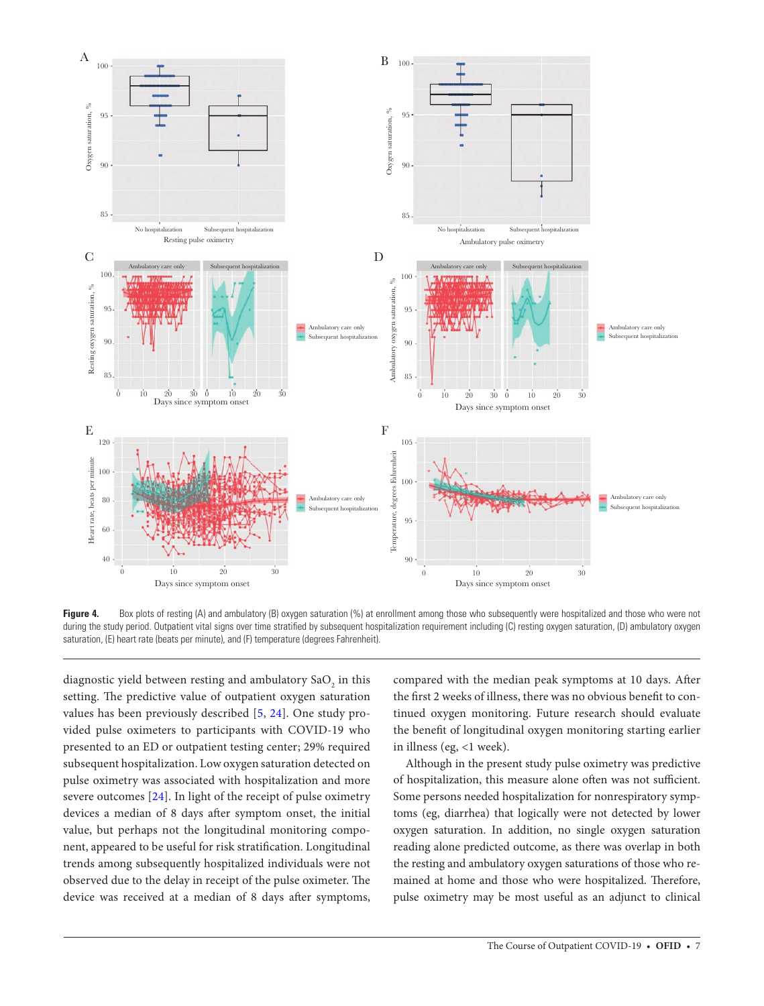

<span id="page-6-0"></span>Figure 4. Box plots of resting (A) and ambulatory (B) oxygen saturation (%) at enrollment among those who subsequently were hospitalized and those who were not during the study period. Outpatient vital signs over time stratified by subsequent hospitalization requirement including (C) resting oxygen saturation, (D) ambulatory oxygen saturation, (E) heart rate (beats per minute), and (F) temperature (degrees Fahrenheit).

diagnostic yield between resting and ambulatory  $\mathrm{SaO}_{_2}$  in this setting. The predictive value of outpatient oxygen saturation values has been previously described [\[5,](#page-8-0) [24](#page-8-18)]. One study provided pulse oximeters to participants with COVID-19 who presented to an ED or outpatient testing center; 29% required subsequent hospitalization. Low oxygen saturation detected on pulse oximetry was associated with hospitalization and more severe outcomes [\[24\]](#page-8-18). In light of the receipt of pulse oximetry devices a median of 8 days after symptom onset, the initial value, but perhaps not the longitudinal monitoring component, appeared to be useful for risk stratification. Longitudinal trends among subsequently hospitalized individuals were not observed due to the delay in receipt of the pulse oximeter. The device was received at a median of 8 days after symptoms,

compared with the median peak symptoms at 10 days. After the first 2 weeks of illness, there was no obvious benefit to continued oxygen monitoring. Future research should evaluate the benefit of longitudinal oxygen monitoring starting earlier in illness (eg, <1 week).

Although in the present study pulse oximetry was predictive of hospitalization, this measure alone often was not sufficient. Some persons needed hospitalization for nonrespiratory symptoms (eg, diarrhea) that logically were not detected by lower oxygen saturation. In addition, no single oxygen saturation reading alone predicted outcome, as there was overlap in both the resting and ambulatory oxygen saturations of those who remained at home and those who were hospitalized. Therefore, pulse oximetry may be most useful as an adjunct to clinical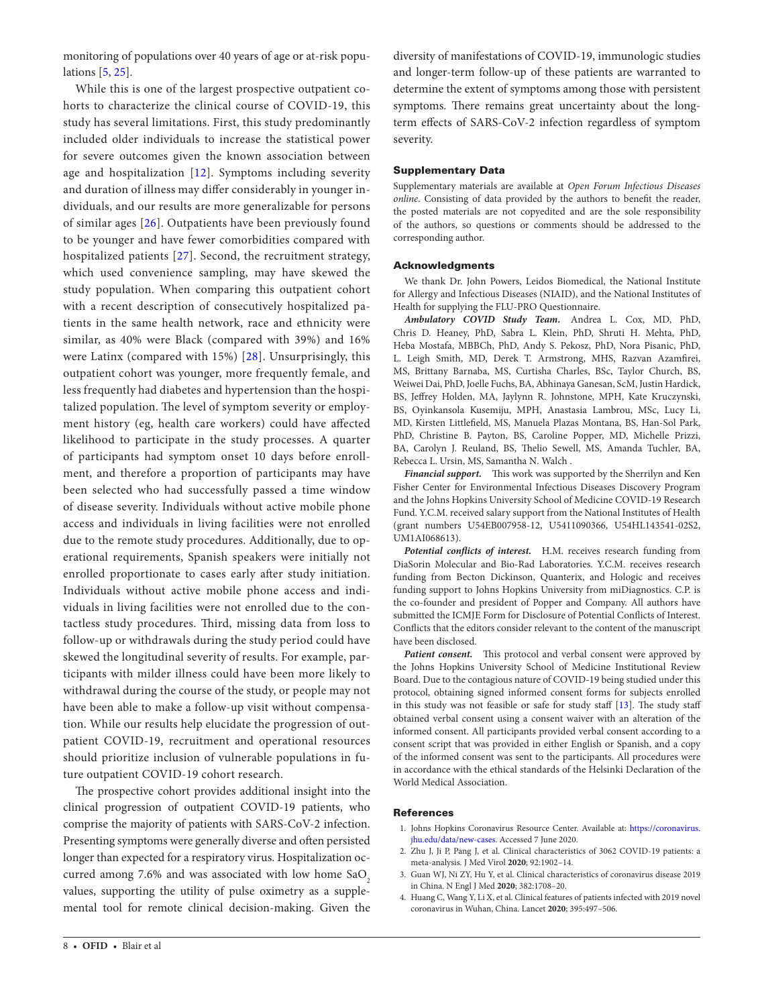monitoring of populations over 40 years of age or at-risk populations [[5](#page-8-0), [25\]](#page-8-19).

While this is one of the largest prospective outpatient cohorts to characterize the clinical course of COVID-19, this study has several limitations. First, this study predominantly included older individuals to increase the statistical power for severe outcomes given the known association between age and hospitalization [[12\]](#page-8-5). Symptoms including severity and duration of illness may differ considerably in younger individuals, and our results are more generalizable for persons of similar ages [\[26\]](#page-8-20). Outpatients have been previously found to be younger and have fewer comorbidities compared with hospitalized patients [[27](#page-8-21)]. Second, the recruitment strategy, which used convenience sampling, may have skewed the study population. When comparing this outpatient cohort with a recent description of consecutively hospitalized patients in the same health network, race and ethnicity were similar, as 40% were Black (compared with 39%) and 16% were Latinx (compared with 15%) [\[28\]](#page-8-22). Unsurprisingly, this outpatient cohort was younger, more frequently female, and less frequently had diabetes and hypertension than the hospitalized population. The level of symptom severity or employment history (eg, health care workers) could have affected likelihood to participate in the study processes. A quarter of participants had symptom onset 10 days before enrollment, and therefore a proportion of participants may have been selected who had successfully passed a time window of disease severity. Individuals without active mobile phone access and individuals in living facilities were not enrolled due to the remote study procedures. Additionally, due to operational requirements, Spanish speakers were initially not enrolled proportionate to cases early after study initiation. Individuals without active mobile phone access and individuals in living facilities were not enrolled due to the contactless study procedures. Third, missing data from loss to follow-up or withdrawals during the study period could have skewed the longitudinal severity of results. For example, participants with milder illness could have been more likely to withdrawal during the course of the study, or people may not have been able to make a follow-up visit without compensation. While our results help elucidate the progression of outpatient COVID-19, recruitment and operational resources should prioritize inclusion of vulnerable populations in future outpatient COVID-19 cohort research.

The prospective cohort provides additional insight into the clinical progression of outpatient COVID-19 patients, who comprise the majority of patients with SARS-CoV-2 infection. Presenting symptoms were generally diverse and often persisted longer than expected for a respiratory virus. Hospitalization occurred among  $7.6\%$  and was associated with low home  $SaO<sub>2</sub>$ values, supporting the utility of pulse oximetry as a supplemental tool for remote clinical decision-making. Given the

*online*. Consisting of data provided by the authors to benefit the reader, the posted materials are not copyedited and are the sole responsibility of the authors, so questions or comments should be addressed to the corresponding author.

diversity of manifestations of COVID-19, immunologic studies and longer-term follow-up of these patients are warranted to determine the extent of symptoms among those with persistent

#### Acknowledgments

We thank Dr. John Powers, Leidos Biomedical, the National Institute for Allergy and Infectious Diseases (NIAID), and the National Institutes of Health for supplying the FLU-PRO Questionnaire.

*Ambulatory COVID Study Team.* Andrea L. Cox, MD, PhD, Chris D. Heaney, PhD, Sabra L. Klein, PhD, Shruti H. Mehta, PhD, Heba Mostafa, MBBCh, PhD, Andy S. Pekosz, PhD, Nora Pisanic, PhD, L. Leigh Smith, MD, Derek T. Armstrong, MHS, Razvan Azamfirei, MS, Brittany Barnaba, MS, Curtisha Charles, BSc, Taylor Church, BS, Weiwei Dai, PhD, Joelle Fuchs, BA, Abhinaya Ganesan, ScM, Justin Hardick, BS, Jeffrey Holden, MA, Jaylynn R. Johnstone, MPH, Kate Kruczynski, BS, Oyinkansola Kusemiju, MPH, Anastasia Lambrou, MSc, Lucy Li, MD, Kirsten Littlefield, MS, Manuela Plazas Montana, BS, Han-Sol Park, PhD, Christine B. Payton, BS, Caroline Popper, MD, Michelle Prizzi, BA, Carolyn J. Reuland, BS, Thelio Sewell, MS, Amanda Tuchler, BA, Rebecca L. Ursin, MS, Samantha N. Walch .

*Financial support.* This work was supported by the Sherrilyn and Ken Fisher Center for Environmental Infectious Diseases Discovery Program and the Johns Hopkins University School of Medicine COVID-19 Research Fund. Y.C.M. received salary support from the National Institutes of Health (grant numbers U54EB007958-12, U5411090366, U54HL143541-02S2, UM1AI068613).

*Potential conflicts of interest.* H.M. receives research funding from DiaSorin Molecular and Bio-Rad Laboratories. Y.C.M. receives research funding from Becton Dickinson, Quanterix, and Hologic and receives funding support to Johns Hopkins University from miDiagnostics. C.P. is the co-founder and president of Popper and Company. All authors have submitted the ICMJE Form for Disclosure of Potential Conflicts of Interest. Conflicts that the editors consider relevant to the content of the manuscript have been disclosed.

Patient consent. This protocol and verbal consent were approved by the Johns Hopkins University School of Medicine Institutional Review Board. Due to the contagious nature of COVID-19 being studied under this protocol, obtaining signed informed consent forms for subjects enrolled in this study was not feasible or safe for study staff [\[13](#page-8-7)]. The study staff obtained verbal consent using a consent waiver with an alteration of the informed consent. All participants provided verbal consent according to a consent script that was provided in either English or Spanish, and a copy of the informed consent was sent to the participants. All procedures were in accordance with the ethical standards of the Helsinki Declaration of the World Medical Association.

#### References

- <span id="page-7-0"></span>1. Johns Hopkins Coronavirus Resource Center. Available at: [https://coronavirus.](https://coronavirus.jhu.edu/data/new-cases) [jhu.edu/data/new-cases](https://coronavirus.jhu.edu/data/new-cases). Accessed 7 June 2020.
- <span id="page-7-1"></span>2. Zhu J, Ji P, Pang J, et al. Clinical characteristics of 3062 COVID-19 patients: a meta-analysis. J Med Virol **2020**; 92:1902–14.
- 3. Guan WJ, Ni ZY, Hu Y, et al. Clinical characteristics of coronavirus disease 2019 in China. N Engl J Med **2020**; 382:1708–20.
- <span id="page-7-2"></span>4. Huang C, Wang Y, Li X, et al. Clinical features of patients infected with 2019 novel coronavirus in Wuhan, China. Lancet **2020**; 395:497–506.